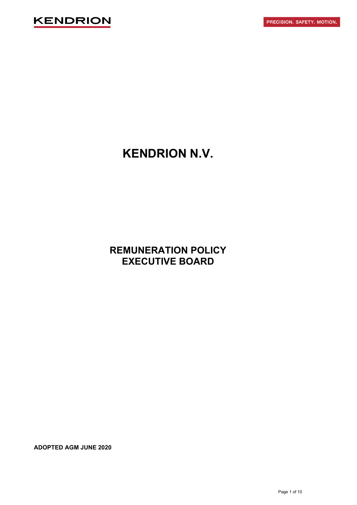

# **KENDRION N.V.**

**REMUNERATION POLICY EXECUTIVE BOARD**

**ADOPTED AGM JUNE 2020**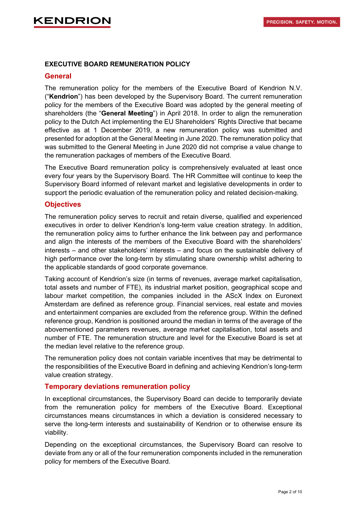### **EXECUTIVE BOARD REMUNERATION POLICY**

### **General**

The remuneration policy for the members of the Executive Board of Kendrion N.V. ("**Kendrion**") has been developed by the Supervisory Board. The current remuneration policy for the members of the Executive Board was adopted by the general meeting of shareholders (the "**General Meeting**") in April 2018. In order to align the remuneration policy to the Dutch Act implementing the EU Shareholders' Rights Directive that became effective as at 1 December 2019, a new remuneration policy was submitted and presented for adoption at the General Meeting in June 2020. The remuneration policy that was submitted to the General Meeting in June 2020 did not comprise a value change to the remuneration packages of members of the Executive Board.

The Executive Board remuneration policy is comprehensively evaluated at least once every four years by the Supervisory Board. The HR Committee will continue to keep the Supervisory Board informed of relevant market and legislative developments in order to support the periodic evaluation of the remuneration policy and related decision-making.

## **Objectives**

The remuneration policy serves to recruit and retain diverse, qualified and experienced executives in order to deliver Kendrion's long-term value creation strategy. In addition, the remuneration policy aims to further enhance the link between pay and performance and align the interests of the members of the Executive Board with the shareholders' interests – and other stakeholders' interests – and focus on the sustainable delivery of high performance over the long-term by stimulating share ownership whilst adhering to the applicable standards of good corporate governance.

Taking account of Kendrion's size (in terms of revenues, average market capitalisation, total assets and number of FTE), its industrial market position, geographical scope and labour market competition, the companies included in the AScX Index on Euronext Amsterdam are defined as reference group. Financial services, real estate and movies and entertainment companies are excluded from the reference group. Within the defined reference group, Kendrion is positioned around the median in terms of the average of the abovementioned parameters revenues, average market capitalisation, total assets and number of FTE. The remuneration structure and level for the Executive Board is set at the median level relative to the reference group.

The remuneration policy does not contain variable incentives that may be detrimental to the responsibilities of the Executive Board in defining and achieving Kendrion's long-term value creation strategy.

# **Temporary deviations remuneration policy**

In exceptional circumstances, the Supervisory Board can decide to temporarily deviate from the remuneration policy for members of the Executive Board. Exceptional circumstances means circumstances in which a deviation is considered necessary to serve the long-term interests and sustainability of Kendrion or to otherwise ensure its viability.

Depending on the exceptional circumstances, the Supervisory Board can resolve to deviate from any or all of the four remuneration components included in the remuneration policy for members of the Executive Board.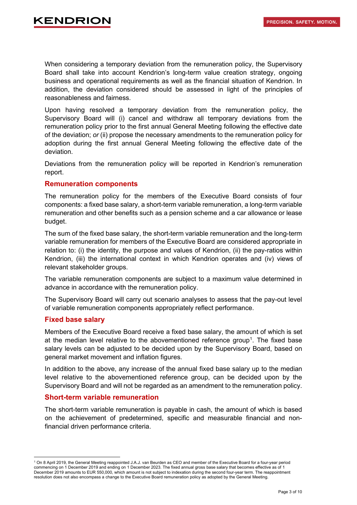# KENDRIO

When considering a temporary deviation from the remuneration policy, the Supervisory Board shall take into account Kendrion's long-term value creation strategy, ongoing business and operational requirements as well as the financial situation of Kendrion. In addition, the deviation considered should be assessed in light of the principles of reasonableness and fairness.

Upon having resolved a temporary deviation from the remuneration policy, the Supervisory Board will (i) cancel and withdraw all temporary deviations from the remuneration policy prior to the first annual General Meeting following the effective date of the deviation; *or* (ii) propose the necessary amendments to the remuneration policy for adoption during the first annual General Meeting following the effective date of the deviation.

Deviations from the remuneration policy will be reported in Kendrion's remuneration report.

#### **Remuneration components**

The remuneration policy for the members of the Executive Board consists of four components: a fixed base salary, a short-term variable remuneration, a long-term variable remuneration and other benefits such as a pension scheme and a car allowance or lease budget.

The sum of the fixed base salary, the short-term variable remuneration and the long-term variable remuneration for members of the Executive Board are considered appropriate in relation to: (i) the identity, the purpose and values of Kendrion, (ii) the pay-ratios within Kendrion, (iii) the international context in which Kendrion operates and (iv) views of relevant stakeholder groups.

The variable remuneration components are subject to a maximum value determined in advance in accordance with the remuneration policy.

The Supervisory Board will carry out scenario analyses to assess that the pay-out level of variable remuneration components appropriately reflect performance.

#### **Fixed base salary**

Members of the Executive Board receive a fixed base salary, the amount of which is set at the median level relative to the abovementioned reference group<sup>[1](#page-2-0)</sup>. The fixed base salary levels can be adjusted to be decided upon by the Supervisory Board, based on general market movement and inflation figures.

In addition to the above, any increase of the annual fixed base salary up to the median level relative to the abovementioned reference group, can be decided upon by the Supervisory Board and will not be regarded as an amendment to the remuneration policy.

#### **Short-term variable remuneration**

The short-term variable remuneration is payable in cash, the amount of which is based on the achievement of predetermined, specific and measurable financial and nonfinancial driven performance criteria.

<span id="page-2-0"></span><sup>1</sup> On 8 April 2019, the General Meeting reappointed J.A.J. van Beurden as CEO and member of the Executive Board for a four-year period commencing on 1 December 2019 and ending on 1 December 2023. The fixed annual gross base salary that becomes effective as of 1 December 2019 amounts to EUR 550,000, which amount is not subject to indexation during the second four-year term. The reappointment resolution does not also encompass a change to the Executive Board remuneration policy as adopted by the General Meeting.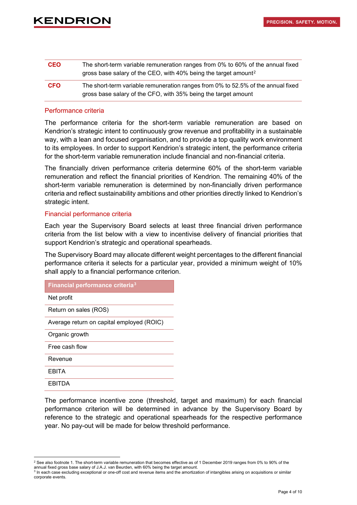| The short-term variable remuneration ranges from 0% to 60% of the annual fixed<br>gross base salary of the CEO, with 40% being the target amount <sup>2</sup> |
|---------------------------------------------------------------------------------------------------------------------------------------------------------------|
| The short-term variable remuneration ranges from 0% to 52.5% of the annual fixed<br>gross base salary of the CFO, with 35% being the target amount            |
|                                                                                                                                                               |

#### Performance criteria

The performance criteria for the short-term variable remuneration are based on Kendrion's strategic intent to continuously grow revenue and profitability in a sustainable way, with a lean and focused organisation, and to provide a top quality work environment to its employees. In order to support Kendrion's strategic intent, the performance criteria for the short-term variable remuneration include financial and non-financial criteria.

The financially driven performance criteria determine 60% of the short-term variable remuneration and reflect the financial priorities of Kendrion. The remaining 40% of the short-term variable remuneration is determined by non-financially driven performance criteria and reflect sustainability ambitions and other priorities directly linked to Kendrion's strategic intent.

#### Financial performance criteria

Each year the Supervisory Board selects at least three financial driven performance criteria from the list below with a view to incentivise delivery of financial priorities that support Kendrion's strategic and operational spearheads.

The Supervisory Board may allocate different weight percentages to the different financial performance criteria it selects for a particular year, provided a minimum weight of 10% shall apply to a financial performance criterion.

| Financial performance criteria <sup>3</sup> |
|---------------------------------------------|
| Net profit                                  |
| Return on sales (ROS)                       |
| Average return on capital employed (ROIC)   |
| Organic growth                              |
| Free cash flow                              |
| Revenue                                     |
| <b>EBITA</b>                                |
| FRITDA                                      |

The performance incentive zone (threshold, target and maximum) for each financial performance criterion will be determined in advance by the Supervisory Board by reference to the strategic and operational spearheads for the respective performance year. No pay-out will be made for below threshold performance.

<span id="page-3-0"></span><sup>&</sup>lt;sup>2</sup> See also footnote 1. The short-term variable remuneration that becomes effective as of 1 December 2019 ranges from 0% to 90% of the annual fixed gross base salary of J.A.J. van Beurden, with 60% being the target amount.

<span id="page-3-1"></span><sup>&</sup>lt;sup>3</sup> In each case excluding exceptional or one-off cost and revenue items and the amortization of intangibles arising on acquisitions or similar corporate events.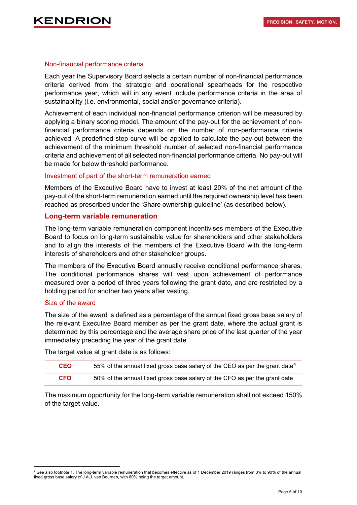#### Non-financial performance criteria

Each year the Supervisory Board selects a certain number of non-financial performance criteria derived from the strategic and operational spearheads for the respective performance year, which will in any event include performance criteria in the area of sustainability (i.e. environmental, social and/or governance criteria).

Achievement of each individual non-financial performance criterion will be measured by applying a binary scoring model. The amount of the pay-out for the achievement of nonfinancial performance criteria depends on the number of non-performance criteria achieved. A predefined step curve will be applied to calculate the pay-out between the achievement of the minimum threshold number of selected non-financial performance criteria and achievement of all selected non-financial performance criteria. No pay-out will be made for below threshold performance.

#### Investment of part of the short-term remuneration earned

Members of the Executive Board have to invest at least 20% of the net amount of the pay-out of the short-term remuneration earned until the required ownership level has been reached as prescribed under the 'Share ownership guideline' (as described below).

#### **Long-term variable remuneration**

The long-term variable remuneration component incentivises members of the Executive Board to focus on long-term sustainable value for shareholders and other stakeholders and to align the interests of the members of the Executive Board with the long-term interests of shareholders and other stakeholder groups.

The members of the Executive Board annually receive conditional performance shares. The conditional performance shares will vest upon achievement of performance measured over a period of three years following the grant date, and are restricted by a holding period for another two years after vesting.

#### Size of the award

The size of the award is defined as a percentage of the annual fixed gross base salary of the relevant Executive Board member as per the grant date, where the actual grant is determined by this percentage and the average share price of the last quarter of the year immediately preceding the year of the grant date.

The target value at grant date is as follows:

| <b>CEO</b> | 55% of the annual fixed gross base salary of the CEO as per the grant date <sup>4</sup> |
|------------|-----------------------------------------------------------------------------------------|
| <b>CFO</b> | 50% of the annual fixed gross base salary of the CFO as per the grant date              |

The maximum opportunity for the long-term variable remuneration shall not exceed 150% of the target value.

<span id="page-4-0"></span><sup>4</sup> See also footnote 1. The long-term variable remuneration that becomes effective as of 1 December 2019 ranges from 0% to 90% of the annual fixed gross base salary of J.A.J. van Beurden, with 60% being the target amount.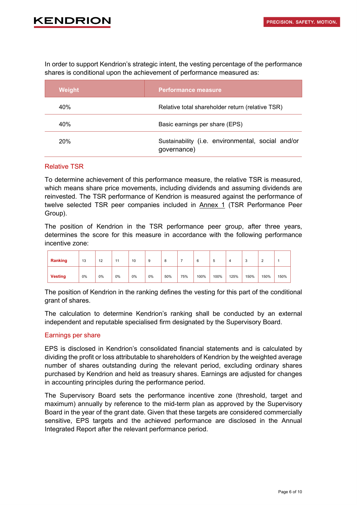# KENDRIO

In order to support Kendrion's strategic intent, the vesting percentage of the performance shares is conditional upon the achievement of performance measured as:

| Weight | <b>Performance measure</b>                                       |
|--------|------------------------------------------------------------------|
| 40%    | Relative total shareholder return (relative TSR)                 |
| 40%    | Basic earnings per share (EPS)                                   |
| 20%    | Sustainability (i.e. environmental, social and/or<br>governance) |

#### Relative TSR

To determine achievement of this performance measure, the relative TSR is measured, which means share price movements, including dividends and assuming dividends are reinvested. The TSR performance of Kendrion is measured against the performance of twelve selected TSR peer companies included in **Annex 1** (TSR Performance Peer Group).

The position of Kendrion in the TSR performance peer group, after three years, determines the score for this measure in accordance with the following performance incentive zone:

| Ranking        | 13 | 12 | 11 | 10    | 9     | 8   |     | 6    | с    |      |      | $\sim$<br>∼ |      |
|----------------|----|----|----|-------|-------|-----|-----|------|------|------|------|-------------|------|
| <b>Vesting</b> | 0% | 0% | 0% | $0\%$ | $0\%$ | 50% | 75% | 100% | 100% | 125% | 150% | 150%        | 150% |

The position of Kendrion in the ranking defines the vesting for this part of the conditional grant of shares.

The calculation to determine Kendrion's ranking shall be conducted by an external independent and reputable specialised firm designated by the Supervisory Board.

#### Earnings per share

EPS is disclosed in Kendrion's consolidated financial statements and is calculated by dividing the profit or loss attributable to shareholders of Kendrion by the weighted average number of shares outstanding during the relevant period, excluding ordinary shares purchased by Kendrion and held as treasury shares. Earnings are adjusted for changes in accounting principles during the performance period.

The Supervisory Board sets the performance incentive zone (threshold, target and maximum) annually by reference to the mid-term plan as approved by the Supervisory Board in the year of the grant date. Given that these targets are considered commercially sensitive, EPS targets and the achieved performance are disclosed in the Annual Integrated Report after the relevant performance period.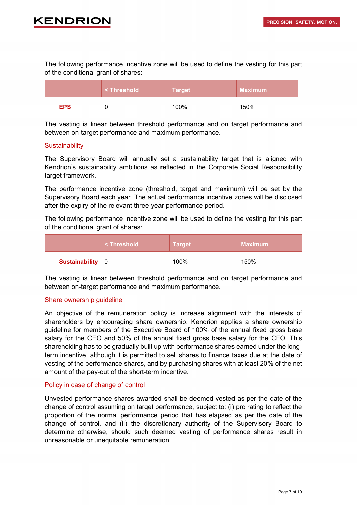# KENDRIO

The following performance incentive zone will be used to define the vesting for this part of the conditional grant of shares:

|            | <threshold< th=""><th><b>Target</b></th><th><b>Maximum</b></th></threshold<> | <b>Target</b> | <b>Maximum</b> |
|------------|------------------------------------------------------------------------------|---------------|----------------|
| <b>EPS</b> |                                                                              | 100%          | 150%           |

The vesting is linear between threshold performance and on target performance and between on-target performance and maximum performance.

#### **Sustainability**

The Supervisory Board will annually set a sustainability target that is aligned with Kendrion's sustainability ambitions as reflected in the Corporate Social Responsibility target framework.

The performance incentive zone (threshold, target and maximum) will be set by the Supervisory Board each year. The actual performance incentive zones will be disclosed after the expiry of the relevant three-year performance period.

The following performance incentive zone will be used to define the vesting for this part of the conditional grant of shares:

|                         | <threshold< th=""><th>∣ Target <sup>i</sup></th><th>Maximum</th></threshold<> | ∣ Target <sup>i</sup> | Maximum |
|-------------------------|-------------------------------------------------------------------------------|-----------------------|---------|
| <b>Sustainability</b> 0 |                                                                               | 100%                  | 150%    |

The vesting is linear between threshold performance and on target performance and between on-target performance and maximum performance.

#### Share ownership guideline

An objective of the remuneration policy is increase alignment with the interests of shareholders by encouraging share ownership. Kendrion applies a share ownership guideline for members of the Executive Board of 100% of the annual fixed gross base salary for the CEO and 50% of the annual fixed gross base salary for the CFO. This shareholding has to be gradually built up with performance shares earned under the longterm incentive, although it is permitted to sell shares to finance taxes due at the date of vesting of the performance shares, and by purchasing shares with at least 20% of the net amount of the pay-out of the short-term incentive.

#### Policy in case of change of control

Unvested performance shares awarded shall be deemed vested as per the date of the change of control assuming on target performance, subject to: (i) pro rating to reflect the proportion of the normal performance period that has elapsed as per the date of the change of control, and (ii) the discretionary authority of the Supervisory Board to determine otherwise, should such deemed vesting of performance shares result in unreasonable or unequitable remuneration.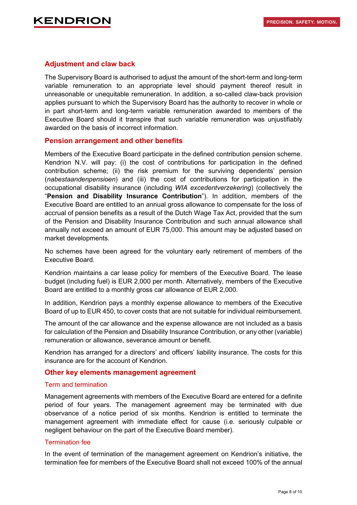## **Adjustment and claw back**

The Supervisory Board is authorised to adjust the amount of the short-term and long-term variable remuneration to an appropriate level should payment thereof result in unreasonable or unequitable remuneration. In addition, a so-called claw-back provision applies pursuant to which the Supervisory Board has the authority to recover in whole or in part short-term and long-term variable remuneration awarded to members of the Executive Board should it transpire that such variable remuneration was unjustifiably awarded on the basis of incorrect information.

#### **Pension arrangement and other benefits**

Members of the Executive Board participate in the defined contribution pension scheme. Kendrion N.V. will pay: (i) the cost of contributions for participation in the defined contribution scheme; (ii) the risk premium for the surviving dependents' pension (*nabestaandenpensioen*) and (iii) the cost of contributions for participation in the occupational disability insurance (including *WIA excedentverzekering*) (collectively the "**Pension and Disability Insurance Contribution**"). In addition, members of the Executive Board are entitled to an annual gross allowance to compensate for the loss of accrual of pension benefits as a result of the Dutch Wage Tax Act, provided that the sum of the Pension and Disability Insurance Contribution and such annual allowance shall annually not exceed an amount of EUR 75,000. This amount may be adjusted based on market developments.

No schemes have been agreed for the voluntary early retirement of members of the Executive Board.

Kendrion maintains a car lease policy for members of the Executive Board. The lease budget (including fuel) is EUR 2,000 per month. Alternatively, members of the Executive Board are entitled to a monthly gross car allowance of EUR 2,000.

In addition, Kendrion pays a monthly expense allowance to members of the Executive Board of up to EUR 450, to cover costs that are not suitable for individual reimbursement.

The amount of the car allowance and the expense allowance are not included as a basis for calculation of the Pension and Disability Insurance Contribution, or any other (variable) remuneration or allowance, severance amount or benefit.

Kendrion has arranged for a directors' and officers' liability insurance. The costs for this insurance are for the account of Kendrion.

#### **Other key elements management agreement**

#### Term and termination

Management agreements with members of the Executive Board are entered for a definite period of four years. The management agreement may be terminated with due observance of a notice period of six months. Kendrion is entitled to terminate the management agreement with immediate effect for cause (i.e. seriously culpable or negligent behaviour on the part of the Executive Board member).

#### Termination fee

In the event of termination of the management agreement on Kendrion's initiative, the termination fee for members of the Executive Board shall not exceed 100% of the annual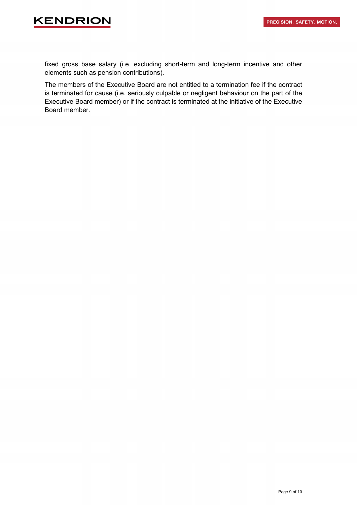# **KENDRION**

fixed gross base salary (i.e. excluding short-term and long-term incentive and other elements such as pension contributions).

The members of the Executive Board are not entitled to a termination fee if the contract is terminated for cause (i.e. seriously culpable or negligent behaviour on the part of the Executive Board member) or if the contract is terminated at the initiative of the Executive Board member.